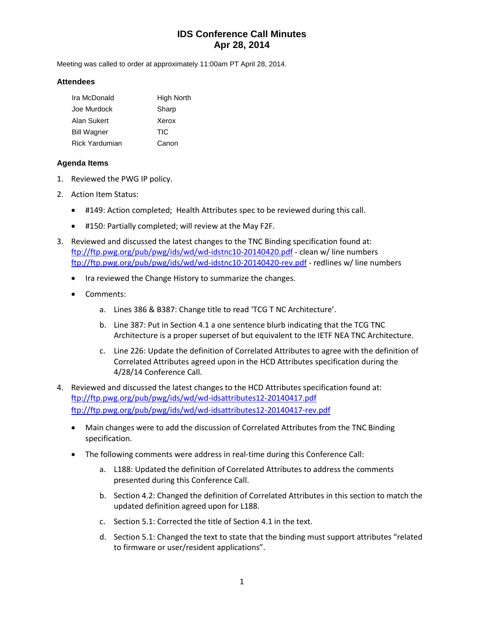# **IDS Conference Call Minutes Apr 28, 2014**

Meeting was called to order at approximately 11:00am PT April 28, 2014.

### **Attendees**

| Ira McDonald          | High North |
|-----------------------|------------|
| Joe Murdock           | Sharp      |
| Alan Sukert           | Xerox      |
| <b>Bill Wagner</b>    | TIC        |
| <b>Rick Yardumian</b> | Canon      |

## **Agenda Items**

- 1. Reviewed the PWG IP policy.
- 2. Action Item Status:
	- #149: Action completed; Health Attributes spec to be reviewed during this call.
	- #150: Partially completed; will review at the May F2F.
- 3. Reviewed and discussed the latest changes to the TNC Binding specification found at: <ftp://ftp.pwg.org/pub/pwg/ids/wd/wd-idstnc10-20140420.pdf> - clean w/ line numbers <ftp://ftp.pwg.org/pub/pwg/ids/wd/wd-idstnc10-20140420-rev.pdf> - redlines w/ line numbers
	- Ira reviewed the Change History to summarize the changes.
	- Comments:
		- a. Lines 386 & B387: Change title to read 'TCG T NC Architecture'.
		- b. Line 387: Put in Section 4.1 a one sentence blurb indicating that the TCG TNC Architecture is a proper superset of but equivalent to the IETF NEA TNC Architecture.
		- c. Line 226: Update the definition of Correlated Attributes to agree with the definition of Correlated Attributes agreed upon in the HCD Attributes specification during the 4/28/14 Conference Call.
- 4. Reviewed and discussed the latest changes to the HCD Attributes specification found at: <ftp://ftp.pwg.org/pub/pwg/ids/wd/wd-idsattributes12-20140417.pdf> <ftp://ftp.pwg.org/pub/pwg/ids/wd/wd-idsattributes12-20140417-rev.pdf>
	- Main changes were to add the discussion of Correlated Attributes from the TNC Binding specification.
	- The following comments were address in real-time during this Conference Call:
		- a. L188: Updated the definition of Correlated Attributes to address the comments presented during this Conference Call.
		- b. Section 4.2: Changed the definition of Correlated Attributes in this section to match the updated definition agreed upon for L188.
		- c. Section 5.1: Corrected the title of Section 4.1 in the text.
		- d. Section 5.1: Changed the text to state that the binding must support attributes "related to firmware or user/resident applications".